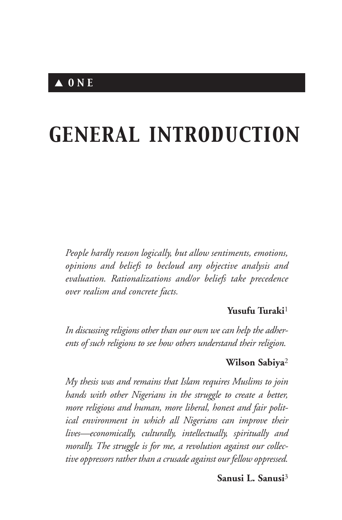# *GENERAL INTRODUCTION*

*People hardly reason logically, but allow sentiments, emotions, opinions and beliefs to becloud any objective analysis and evaluation. Rationalizations and/or beliefs take precedence over realism and concrete facts.*

#### **Yusufu Turaki**<sup>1</sup>

*In discussing religions other than our own we can help the adherents of such religions to see how others understand their religion.*

#### **Wilson Sabiya**<sup>2</sup>

*My thesis was and remains that Islam requires Muslims to join hands with other Nigerians in the struggle to create a better, more religious and human, more liberal, honest and fair political environment in which all Nigerians can improve their lives—economically, culturally, intellectually, spiritually and morally. The struggle is for me, a revolution against our collective oppressors rather than a crusade against our fellow oppressed.*

#### **Sanusi L. Sanusi**<sup>3</sup>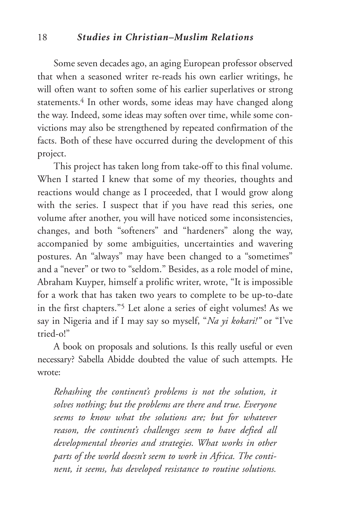#### 18 *Studies in Christian–Muslim Relations*

Some seven decades ago, an aging European professor observed that when a seasoned writer re-reads his own earlier writings, he will often want to soften some of his earlier superlatives or strong statements.<sup>4</sup> In other words, some ideas may have changed along the way. Indeed, some ideas may soften over time, while some convictions may also be strengthened by repeated confirmation of the facts. Both of these have occurred during the development of this project.

This project has taken long from take-off to this final volume. When I started I knew that some of my theories, thoughts and reactions would change as I proceeded, that I would grow along with the series. I suspect that if you have read this series, one volume after another, you will have noticed some inconsistencies, changes, and both "softeners" and "hardeners" along the way, accompanied by some ambiguities, uncertainties and wavering postures. An "always" may have been changed to a "sometimes" and a "never" or two to "seldom." Besides, as a role model of mine, Abraham Kuyper, himself a prolific writer, wrote, "It is impossible for a work that has taken two years to complete to be up-to-date in the first chapters."5 Let alone a series of eight volumes! As we say in Nigeria and if I may say so myself, "*Na yi kokari!"* or "I've tried-o!"

A book on proposals and solutions. Is this really useful or even necessary? Sabella Abidde doubted the value of such attempts. He wrote:

*Rehashing the continent's problems is not the solution, it solves nothing; but the problems are there and true. Everyone seems to know what the solutions are; but for whatever reason, the continent's challenges seem to have defied all developmental theories and strategies. What works in other parts of the world doesn't seem to work in Africa. The continent, it seems, has developed resistance to routine solutions.*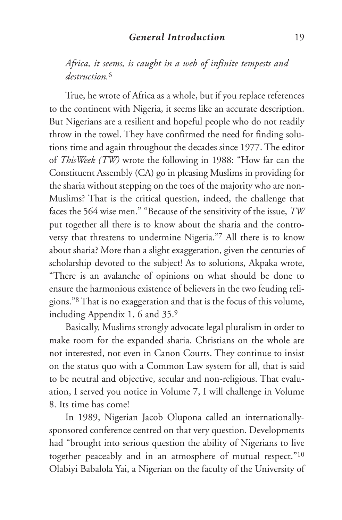*Africa, it seems, is caught in a web of infinite tempests and destruction.*<sup>6</sup>

True, he wrote of Africa as a whole, but if you replace references to the continent with Nigeria, it seems like an accurate description. But Nigerians are a resilient and hopeful people who do not readily throw in the towel. They have confirmed the need for finding solutions time and again throughout the decades since 1977. The editor of *ThisWeek (TW)* wrote the following in 1988: "How far can the Constituent Assembly (CA) go in pleasing Muslims in providing for the sharia without stepping on the toes of the majority who are non-Muslims? That is the critical question, indeed, the challenge that faces the 564 wise men." "Because of the sensitivity of the issue, *TW* put together all there is to know about the sharia and the controversy that threatens to undermine Nigeria."7 All there is to know about sharia? More than a slight exaggeration, given the centuries of scholarship devoted to the subject! As to solutions, Akpaka wrote, "There is an avalanche of opinions on what should be done to ensure the harmonious existence of believers in the two feuding religions."8 That is no exaggeration and that is the focus of this volume, including Appendix 1, 6 and 35.9

Basically, Muslims strongly advocate legal pluralism in order to make room for the expanded sharia. Christians on the whole are not interested, not even in Canon Courts. They continue to insist on the status quo with a Common Law system for all, that is said to be neutral and objective, secular and non-religious. That evaluation, I served you notice in Volume 7, I will challenge in Volume 8. Its time has come!

In 1989, Nigerian Jacob Olupona called an internationallysponsored conference centred on that very question. Developments had "brought into serious question the ability of Nigerians to live together peaceably and in an atmosphere of mutual respect."10 Olabiyi Babalola Yai, a Nigerian on the faculty of the University of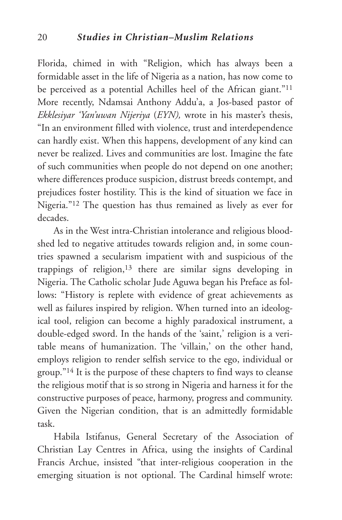Florida, chimed in with "Religion, which has always been a formidable asset in the life of Nigeria as a nation, has now come to be perceived as a potential Achilles heel of the African giant."11 More recently, Ndamsai Anthony Addu'a, a Jos-based pastor of *Ekklesiyar 'Yan'uwan Nijeriya* (*EYN),* wrote in his master's thesis, "In an environment filled with violence, trust and interdependence can hardly exist. When this happens, development of any kind can never be realized. Lives and communities are lost. Imagine the fate of such communities when people do not depend on one another; where differences produce suspicion, distrust breeds contempt, and prejudices foster hostility. This is the kind of situation we face in Nigeria."12 The question has thus remained as lively as ever for decades.

As in the West intra-Christian intolerance and religious bloodshed led to negative attitudes towards religion and, in some countries spawned a secularism impatient with and suspicious of the trappings of religion, $13$  there are similar signs developing in Nigeria. The Catholic scholar Jude Aguwa began his Preface as follows: "History is replete with evidence of great achievements as well as failures inspired by religion. When turned into an ideological tool, religion can become a highly paradoxical instrument, a double-edged sword. In the hands of the 'saint,' religion is a veritable means of humanization. The 'villain,' on the other hand, employs religion to render selfish service to the ego, individual or group."14 It is the purpose of these chapters to find ways to cleanse the religious motif that is so strong in Nigeria and harness it for the constructive purposes of peace, harmony, progress and community. Given the Nigerian condition, that is an admittedly formidable task.

Habila Istifanus, General Secretary of the Association of Christian Lay Centres in Africa, using the insights of Cardinal Francis Archue, insisted "that inter-religious cooperation in the emerging situation is not optional. The Cardinal himself wrote: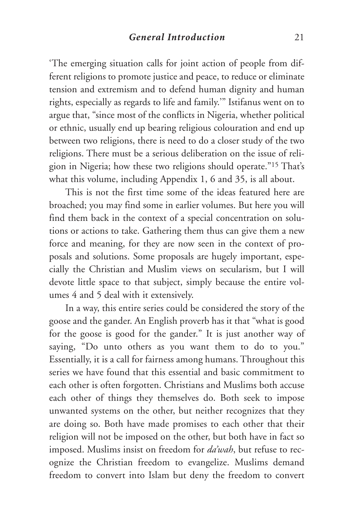'The emerging situation calls for joint action of people from different religions to promote justice and peace, to reduce or eliminate tension and extremism and to defend human dignity and human rights, especially as regards to life and family.'" Istifanus went on to argue that, "since most of the conflicts in Nigeria, whether political or ethnic, usually end up bearing religious colouration and end up between two religions, there is need to do a closer study of the two religions. There must be a serious deliberation on the issue of religion in Nigeria; how these two religions should operate."15 That's what this volume, including Appendix 1, 6 and 35, is all about.

This is not the first time some of the ideas featured here are broached; you may find some in earlier volumes. But here you will find them back in the context of a special concentration on solutions or actions to take. Gathering them thus can give them a new force and meaning, for they are now seen in the context of proposals and solutions. Some proposals are hugely important, especially the Christian and Muslim views on secularism, but I will devote little space to that subject, simply because the entire volumes 4 and 5 deal with it extensively.

In a way, this entire series could be considered the story of the goose and the gander. An English proverb has it that "what is good for the goose is good for the gander." It is just another way of saying, "Do unto others as you want them to do to you." Essentially, it is a call for fairness among humans. Throughout this series we have found that this essential and basic commitment to each other is often forgotten. Christians and Muslims both accuse each other of things they themselves do. Both seek to impose unwanted systems on the other, but neither recognizes that they are doing so. Both have made promises to each other that their religion will not be imposed on the other, but both have in fact so imposed. Muslims insist on freedom for *da'wah*, but refuse to recognize the Christian freedom to evangelize. Muslims demand freedom to convert into Islam but deny the freedom to convert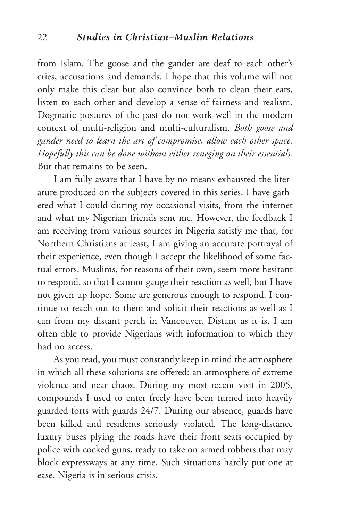from Islam. The goose and the gander are deaf to each other's cries, accusations and demands. I hope that this volume will not only make this clear but also convince both to clean their ears, listen to each other and develop a sense of fairness and realism. Dogmatic postures of the past do not work well in the modern context of multi-religion and multi-culturalism. *Both goose and gander need to learn the art of compromise, allow each other space. Hopefully this can be done without either reneging on their essentials.* But that remains to be seen.

I am fully aware that I have by no means exhausted the literature produced on the subjects covered in this series. I have gathered what I could during my occasional visits, from the internet and what my Nigerian friends sent me. However, the feedback I am receiving from various sources in Nigeria satisfy me that, for Northern Christians at least, I am giving an accurate portrayal of their experience, even though I accept the likelihood of some factual errors. Muslims, for reasons of their own, seem more hesitant to respond, so that I cannot gauge their reaction as well, but I have not given up hope. Some are generous enough to respond. I continue to reach out to them and solicit their reactions as well as I can from my distant perch in Vancouver. Distant as it is, I am often able to provide Nigerians with information to which they had no access.

As you read, you must constantly keep in mind the atmosphere in which all these solutions are offered: an atmosphere of extreme violence and near chaos. During my most recent visit in 2005, compounds I used to enter freely have been turned into heavily guarded forts with guards 24/7. During our absence, guards have been killed and residents seriously violated. The long-distance luxury buses plying the roads have their front seats occupied by police with cocked guns, ready to take on armed robbers that may block expressways at any time. Such situations hardly put one at ease. Nigeria is in serious crisis.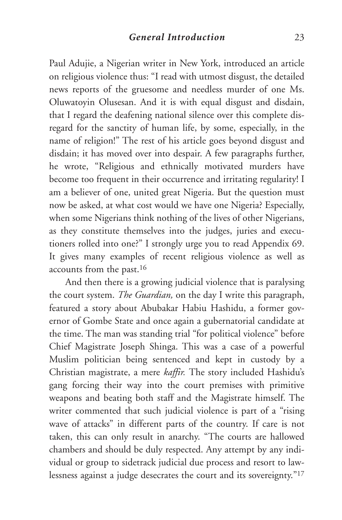Paul Adujie, a Nigerian writer in New York, introduced an article on religious violence thus: "I read with utmost disgust, the detailed news reports of the gruesome and needless murder of one Ms. Oluwatoyin Olusesan. And it is with equal disgust and disdain, that I regard the deafening national silence over this complete disregard for the sanctity of human life, by some, especially, in the name of religion!" The rest of his article goes beyond disgust and disdain; it has moved over into despair. A few paragraphs further, he wrote, "Religious and ethnically motivated murders have become too frequent in their occurrence and irritating regularity! I am a believer of one, united great Nigeria. But the question must now be asked, at what cost would we have one Nigeria? Especially, when some Nigerians think nothing of the lives of other Nigerians, as they constitute themselves into the judges, juries and executioners rolled into one?" I strongly urge you to read Appendix 69. It gives many examples of recent religious violence as well as accounts from the past.16

And then there is a growing judicial violence that is paralysing the court system. *The Guardian,* on the day I write this paragraph, featured a story about Abubakar Habiu Hashidu, a former governor of Gombe State and once again a gubernatorial candidate at the time. The man was standing trial "for political violence" before Chief Magistrate Joseph Shinga. This was a case of a powerful Muslim politician being sentenced and kept in custody by a Christian magistrate, a mere *kaffir.* The story included Hashidu's gang forcing their way into the court premises with primitive weapons and beating both staff and the Magistrate himself. The writer commented that such judicial violence is part of a "rising wave of attacks" in different parts of the country. If care is not taken, this can only result in anarchy. "The courts are hallowed chambers and should be duly respected. Any attempt by any individual or group to sidetrack judicial due process and resort to lawlessness against a judge desecrates the court and its sovereignty."17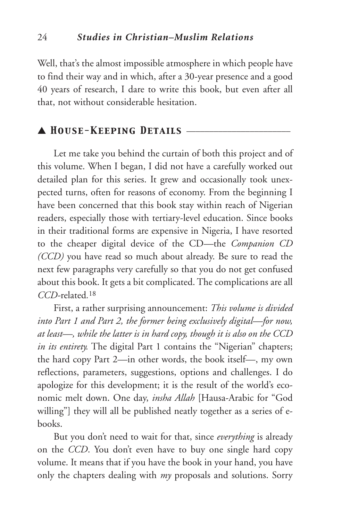Well, that's the almost impossible atmosphere in which people have to find their way and in which, after a 30-year presence and a good 40 years of research, I dare to write this book, but even after all that, not without considerable hesitation.

## ▲ *House-Keeping Details* \_\_\_\_\_\_\_\_\_\_\_\_\_\_\_\_\_\_\_\_\_\_\_

Let me take you behind the curtain of both this project and of this volume. When I began, I did not have a carefully worked out detailed plan for this series. It grew and occasionally took unexpected turns, often for reasons of economy. From the beginning I have been concerned that this book stay within reach of Nigerian readers, especially those with tertiary-level education. Since books in their traditional forms are expensive in Nigeria, I have resorted to the cheaper digital device of the CD—the *Companion CD (CCD)* you have read so much about already. Be sure to read the next few paragraphs very carefully so that you do not get confused about this book. It gets a bit complicated. The complications are all *CCD-*related*.*<sup>18</sup>

First, a rather surprising announcement: *This volume is divided into Part 1 and Part 2, the former being exclusively digital—for now, at least—, while the latter is in hard copy, though it is also on the CCD in its entirety.* The digital Part 1 contains the "Nigerian" chapters; the hard copy Part 2—in other words, the book itself—, my own reflections, parameters, suggestions, options and challenges. I do apologize for this development; it is the result of the world's economic melt down. One day, *insha Allah* [Hausa-Arabic for "God willing"] they will all be published neatly together as a series of ebooks.

But you don't need to wait for that, since *everything* is already on the *CCD*. You don't even have to buy one single hard copy volume. It means that if you have the book in your hand, you have only the chapters dealing with *my* proposals and solutions. Sorry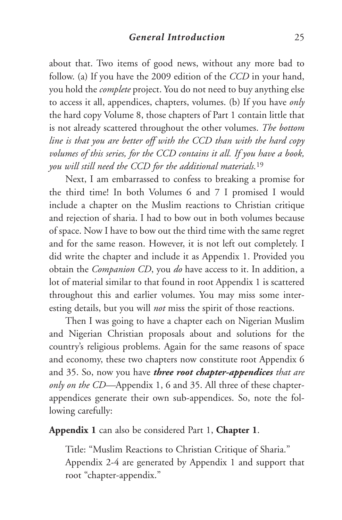about that. Two items of good news, without any more bad to follow. (a) If you have the 2009 edition of the *CCD* in your hand, you hold the *complete* project. You do not need to buy anything else to access it all, appendices, chapters, volumes. (b) If you have *only* the hard copy Volume 8, those chapters of Part 1 contain little that is not already scattered throughout the other volumes. *The bottom line is that you are better off with the CCD than with the hard copy volumes of this series, for the CCD contains it all. If you have a book, you will still need the CCD for the additional materials.*<sup>19</sup>

Next, I am embarrassed to confess to breaking a promise for the third time! In both Volumes 6 and 7 I promised I would include a chapter on the Muslim reactions to Christian critique and rejection of sharia. I had to bow out in both volumes because of space. Now I have to bow out the third time with the same regret and for the same reason. However, it is not left out completely. I did write the chapter and include it as Appendix 1. Provided you obtain the *Companion CD*, you *do* have access to it. In addition, a lot of material similar to that found in root Appendix 1 is scattered throughout this and earlier volumes. You may miss some interesting details, but you will *not* miss the spirit of those reactions.

Then I was going to have a chapter each on Nigerian Muslim and Nigerian Christian proposals about and solutions for the country's religious problems. Again for the same reasons of space and economy, these two chapters now constitute root Appendix 6 and 35. So, now you have *three root chapter-appendices that are only on the CD—*Appendix 1, 6 and 35. All three of these chapterappendices generate their own sub-appendices. So, note the following carefully:

**Appendix 1** can also be considered Part 1, **Chapter 1**.

Title: "Muslim Reactions to Christian Critique of Sharia." Appendix 2-4 are generated by Appendix 1 and support that root "chapter-appendix."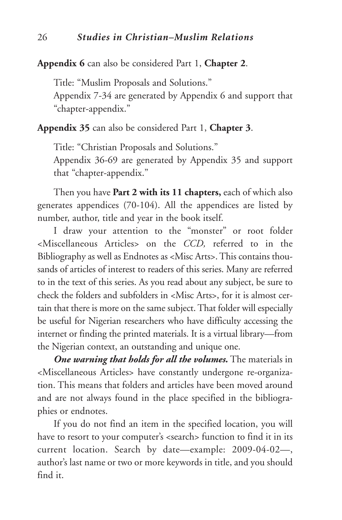**Appendix 6** can also be considered Part 1, **Chapter 2**.

Title: "Muslim Proposals and Solutions." Appendix 7-34 are generated by Appendix 6 and support that "chapter-appendix."

**Appendix 35** can also be considered Part 1, **Chapter 3**.

Title: "Christian Proposals and Solutions." Appendix 36-69 are generated by Appendix 35 and support that "chapter-appendix."

Then you have **Part 2 with its 11 chapters,** each of which also generates appendices (70-104). All the appendices are listed by number, author, title and year in the book itself.

I draw your attention to the "monster" or root folder <Miscellaneous Articles> on the *CCD,* referred to in the Bibliography as well as Endnotes as <Misc Arts>.This contains thousands of articles of interest to readers of this series. Many are referred to in the text of this series. As you read about any subject, be sure to check the folders and subfolders in <Misc Arts>, for it is almost certain that there is more on the same subject.That folder will especially be useful for Nigerian researchers who have difficulty accessing the internet or finding the printed materials. It is a virtual library—from the Nigerian context, an outstanding and unique one.

*One warning that holds for all the volumes.* The materials in <Miscellaneous Articles> have constantly undergone re-organization. This means that folders and articles have been moved around and are not always found in the place specified in the bibliographies or endnotes.

If you do not find an item in the specified location, you will have to resort to your computer's <search> function to find it in its current location. Search by date—example: 2009-04-02—, author's last name or two or more keywords in title, and you should find it.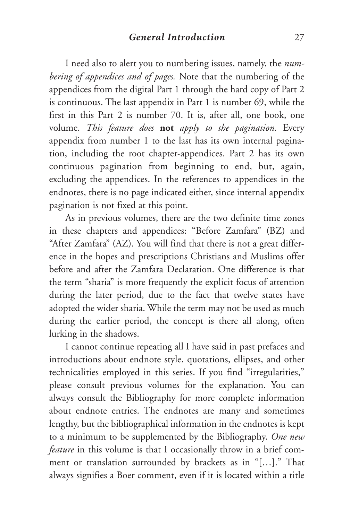I need also to alert you to numbering issues, namely, the *numbering of appendices and of pages.* Note that the numbering of the appendices from the digital Part 1 through the hard copy of Part 2 is continuous. The last appendix in Part 1 is number 69, while the first in this Part 2 is number 70. It is, after all, one book, one volume. *This feature does* **not** *apply to the pagination.* Every appendix from number 1 to the last has its own internal pagination, including the root chapter-appendices. Part 2 has its own continuous pagination from beginning to end, but, again, excluding the appendices. In the references to appendices in the endnotes, there is no page indicated either, since internal appendix pagination is not fixed at this point.

As in previous volumes, there are the two definite time zones in these chapters and appendices: "Before Zamfara" (BZ) and "After Zamfara" (AZ). You will find that there is not a great difference in the hopes and prescriptions Christians and Muslims offer before and after the Zamfara Declaration. One difference is that the term "sharia" is more frequently the explicit focus of attention during the later period, due to the fact that twelve states have adopted the wider sharia. While the term may not be used as much during the earlier period, the concept is there all along, often lurking in the shadows.

I cannot continue repeating all I have said in past prefaces and introductions about endnote style, quotations, ellipses, and other technicalities employed in this series. If you find "irregularities," please consult previous volumes for the explanation. You can always consult the Bibliography for more complete information about endnote entries. The endnotes are many and sometimes lengthy, but the bibliographical information in the endnotes is kept to a minimum to be supplemented by the Bibliography. *One new feature* in this volume is that I occasionally throw in a brief comment or translation surrounded by brackets as in "[…]." That always signifies a Boer comment, even if it is located within a title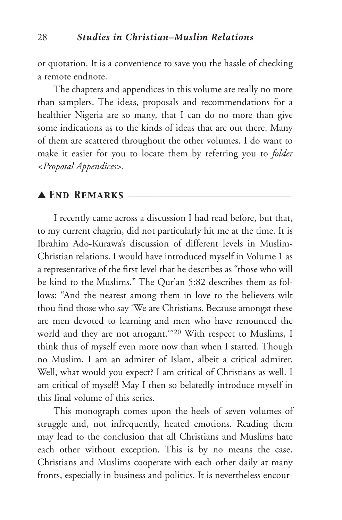or quotation. It is a convenience to save you the hassle of checking a remote endnote.

The chapters and appendices in this volume are really no more than samplers. The ideas, proposals and recommendations for a healthier Nigeria are so many, that I can do no more than give some indications as to the kinds of ideas that are out there. Many of them are scattered throughout the other volumes. I do want to make it easier for you to locate them by referring you to *folder <Proposal Appendices>.*

## ▲ *End Remarks* \_\_\_\_\_\_\_\_\_\_\_\_\_\_\_\_\_\_\_\_\_\_\_\_\_\_\_\_\_\_\_\_\_\_\_\_

I recently came across a discussion I had read before, but that, to my current chagrin, did not particularly hit me at the time. It is Ibrahim Ado-Kurawa's discussion of different levels in Muslim-Christian relations. I would have introduced myself in Volume 1 as a representative of the first level that he describes as "those who will be kind to the Muslims." The Qur'an 5:82 describes them as follows: "And the nearest among them in love to the believers wilt thou find those who say 'We are Christians. Because amongst these are men devoted to learning and men who have renounced the world and they are not arrogant.'"20 With respect to Muslims, I think thus of myself even more now than when I started. Though no Muslim, I am an admirer of Islam, albeit a critical admirer. Well, what would you expect? I am critical of Christians as well. I am critical of myself! May I then so belatedly introduce myself in this final volume of this series.

This monograph comes upon the heels of seven volumes of struggle and, not infrequently, heated emotions. Reading them may lead to the conclusion that all Christians and Muslims hate each other without exception. This is by no means the case. Christians and Muslims cooperate with each other daily at many fronts, especially in business and politics. It is nevertheless encour-